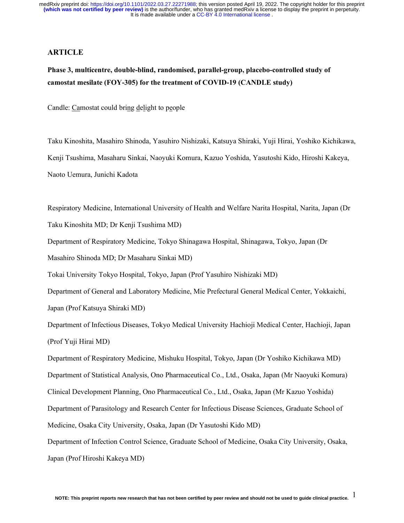#### **ARTICLE**

# **Phase 3, multicentre, double-blind, randomised, parallel-group, placebo-controlled study of camostat mesilate (FOY-305) for the treatment of COVID-19 (CANDLE study)**

Candle: Camostat could bring delight to people

Taku Kinoshita, Masahiro Shinoda, Yasuhiro Nishizaki, Katsuya Shiraki, Yuji Hirai, Yoshiko Kichikawa, Kenji Tsushima, Masaharu Sinkai, Naoyuki Komura, Kazuo Yoshida, Yasutoshi Kido, Hiroshi Kakeya, Naoto Uemura, Junichi Kadota

Respiratory Medicine, International University of Health and Welfare Narita Hospital, Narita, Japan (Dr Taku Kinoshita MD; Dr Kenji Tsushima MD)

Department of Respiratory Medicine, Tokyo Shinagawa Hospital, Shinagawa, Tokyo, Japan (Dr

Masahiro Shinoda MD; Dr Masaharu Sinkai MD)

Tokai University Tokyo Hospital, Tokyo, Japan (Prof Yasuhiro Nishizaki MD)

Department of General and Laboratory Medicine, Mie Prefectural General Medical Center, Yokkaichi, Japan (Prof Katsuya Shiraki MD)

Department of Infectious Diseases, Tokyo Medical University Hachioji Medical Center, Hachioji, Japan (Prof Yuji Hirai MD)

Department of Respiratory Medicine, Mishuku Hospital, Tokyo, Japan (Dr Yoshiko Kichikawa MD) Department of Statistical Analysis, Ono Pharmaceutical Co., Ltd., Osaka, Japan (Mr Naoyuki Komura) Clinical Development Planning, Ono Pharmaceutical Co., Ltd., Osaka, Japan (Mr Kazuo Yoshida) Department of Parasitology and Research Center for Infectious Disease Sciences, Graduate School of Medicine, Osaka City University, Osaka, Japan (Dr Yasutoshi Kido MD)

Department of Infection Control Science, Graduate School of Medicine, Osaka City University, Osaka, Japan (Prof Hiroshi Kakeya MD)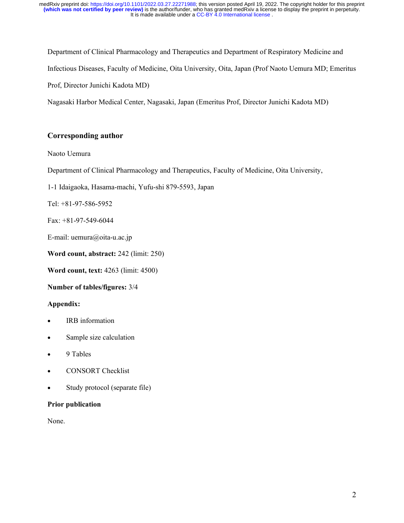Department of Clinical Pharmacology and Therapeutics and Department of Respiratory Medicine and Infectious Diseases, Faculty of Medicine, Oita University, Oita, Japan (Prof Naoto Uemura MD; Emeritus Prof, Director Junichi Kadota MD)

Nagasaki Harbor Medical Center, Nagasaki, Japan (Emeritus Prof, Director Junichi Kadota MD)

# **Corresponding author**

## Naoto Uemura

Department of Clinical Pharmacology and Therapeutics, Faculty of Medicine, Oita University,

1-1 Idaigaoka, Hasama-machi, Yufu-shi 879-5593, Japan

Tel: +81-97-586-5952

Fax: +81-97-549-6044

E-mail: uemura@oita-u.ac.jp

**Word count, abstract:** 242 (limit: 250)

**Word count, text:** 4263 (limit: 4500)

**Number of tables/figures:** 3/4

## **Appendix:**

- IRB information
- Sample size calculation
- 9 Tables
- CONSORT Checklist
- Study protocol (separate file)

### **Prior publication**

None.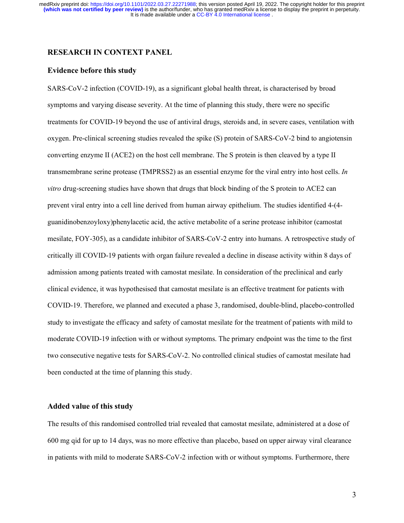### **RESEARCH IN CONTEXT PANEL**

#### **Evidence before this study**

SARS-CoV-2 infection (COVID-19), as a significant global health threat, is characterised by broad symptoms and varying disease severity. At the time of planning this study, there were no specific treatments for COVID-19 beyond the use of antiviral drugs, steroids and, in severe cases, ventilation with oxygen. Pre-clinical screening studies revealed the spike (S) protein of SARS-CoV-2 bind to angiotensin converting enzyme II (ACE2) on the host cell membrane. The S protein is then cleaved by a type II transmembrane serine protease (TMPRSS2) as an essential enzyme for the viral entry into host cells. *In vitro* drug-screening studies have shown that drugs that block binding of the S protein to ACE2 can prevent viral entry into a cell line derived from human airway epithelium. The studies identified 4-(4 guanidinobenzoyloxy)phenylacetic acid, the active metabolite of a serine protease inhibitor (camostat mesilate, FOY-305), as a candidate inhibitor of SARS-CoV-2 entry into humans. A retrospective study of critically ill COVID-19 patients with organ failure revealed a decline in disease activity within 8 days of admission among patients treated with camostat mesilate. In consideration of the preclinical and early clinical evidence, it was hypothesised that camostat mesilate is an effective treatment for patients with COVID-19. Therefore, we planned and executed a phase 3, randomised, double-blind, placebo-controlled study to investigate the efficacy and safety of camostat mesilate for the treatment of patients with mild to moderate COVID-19 infection with or without symptoms. The primary endpoint was the time to the first two consecutive negative tests for SARS-CoV-2. No controlled clinical studies of camostat mesilate had been conducted at the time of planning this study.

#### **Added value of this study**

The results of this randomised controlled trial revealed that camostat mesilate, administered at a dose of 600 mg qid for up to 14 days, was no more effective than placebo, based on upper airway viral clearance in patients with mild to moderate SARS-CoV-2 infection with or without symptoms. Furthermore, there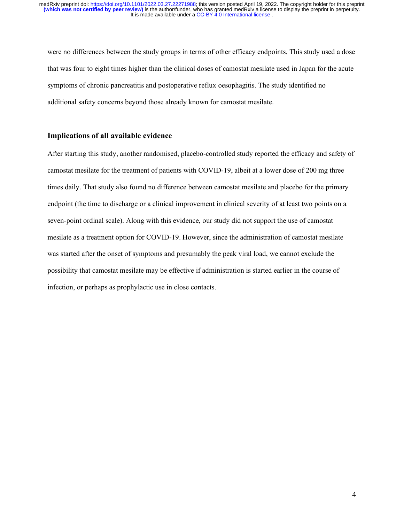were no differences between the study groups in terms of other efficacy endpoints. This study used a dose that was four to eight times higher than the clinical doses of camostat mesilate used in Japan for the acute symptoms of chronic pancreatitis and postoperative reflux oesophagitis. The study identified no additional safety concerns beyond those already known for camostat mesilate.

### **Implications of all available evidence**

After starting this study, another randomised, placebo-controlled study reported the efficacy and safety of camostat mesilate for the treatment of patients with COVID-19, albeit at a lower dose of 200 mg three times daily. That study also found no difference between camostat mesilate and placebo for the primary endpoint (the time to discharge or a clinical improvement in clinical severity of at least two points on a seven-point ordinal scale). Along with this evidence, our study did not support the use of camostat mesilate as a treatment option for COVID-19. However, since the administration of camostat mesilate was started after the onset of symptoms and presumably the peak viral load, we cannot exclude the possibility that camostat mesilate may be effective if administration is started earlier in the course of infection, or perhaps as prophylactic use in close contacts.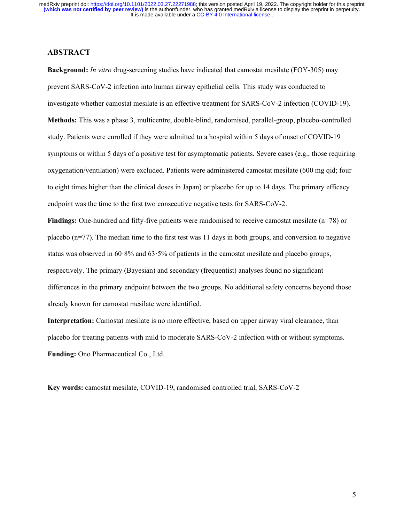## **ABSTRACT**

**Background:** *In vitro* drug-screening studies have indicated that camostat mesilate (FOY-305) may prevent SARS-CoV-2 infection into human airway epithelial cells. This study was conducted to investigate whether camostat mesilate is an effective treatment for SARS-CoV-2 infection (COVID-19). **Methods:** This was a phase 3, multicentre, double-blind, randomised, parallel-group, placebo-controlled study. Patients were enrolled if they were admitted to a hospital within 5 days of onset of COVID-19 symptoms or within 5 days of a positive test for asymptomatic patients. Severe cases (e.g., those requiring oxygenation/ventilation) were excluded. Patients were administered camostat mesilate (600 mg qid; four to eight times higher than the clinical doses in Japan) or placebo for up to 14 days. The primary efficacy endpoint was the time to the first two consecutive negative tests for SARS-CoV-2.

**Findings:** One-hundred and fifty-five patients were randomised to receive camostat mesilate (n=78) or placebo  $(n=77)$ . The median time to the first test was 11 days in both groups, and conversion to negative status was observed in 60·8% and 63·5% of patients in the camostat mesilate and placebo groups, respectively. The primary (Bayesian) and secondary (frequentist) analyses found no significant differences in the primary endpoint between the two groups. No additional safety concerns beyond those already known for camostat mesilate were identified.

**Interpretation:** Camostat mesilate is no more effective, based on upper airway viral clearance, than placebo for treating patients with mild to moderate SARS-CoV-2 infection with or without symptoms. **Funding:** Ono Pharmaceutical Co., Ltd.

**Key words:** camostat mesilate, COVID-19, randomised controlled trial, SARS-CoV-2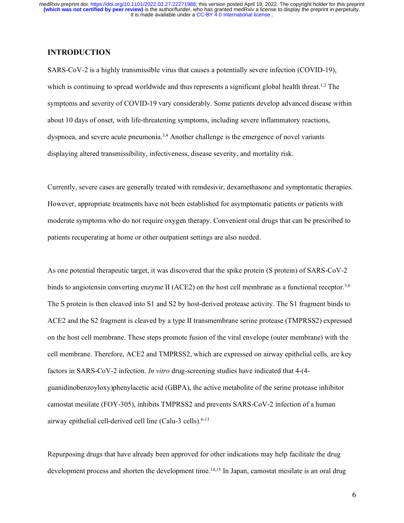### **INTRODUCTION**

SARS-CoV-2 is a highly transmissible virus that causes a potentially severe infection (COVID-19), which is continuing to spread worldwide and thus represents a significant global health threat.<sup>1,2</sup> The symptoms and severity of COVID-19 vary considerably. Some patients develop advanced disease within about 10 days of onset, with life-threatening symptoms, including severe inflammatory reactions, dyspnoea, and severe acute pneumonia.3,4 Another challenge is the emergence of novel variants displaying altered transmissibility, infectiveness, disease severity, and mortality risk.

Currently, severe cases are generally treated with remdesivir, dexamethasone and symptomatic therapies. However, appropriate treatments have not been established for asymptomatic patients or patients with moderate symptoms who do not require oxygen therapy. Convenient oral drugs that can be prescribed to patients recuperating at home or other outpatient settings are also needed.

As one potential therapeutic target, it was discovered that the spike protein (S protein) of SARS-CoV-2 binds to angiotensin converting enzyme II (ACE2) on the host cell membrane as a functional receptor.<sup>5,6</sup> The S protein is then cleaved into S1 and S2 by host-derived protease activity. The S1 fragment binds to ACE2 and the S2 fragment is cleaved by a type II transmembrane serine protease (TMPRSS2) expressed on the host cell membrane. These steps promote fusion of the viral envelope (outer membrane) with the cell membrane. Therefore, ACE2 and TMPRSS2, which are expressed on airway epithelial cells, are key factors in SARS-CoV-2 infection. *In vitro* drug-screening studies have indicated that 4-(4 guanidinobenzoyloxy)phenylacetic acid (GBPA), the active metabolite of the serine protease inhibitor camostat mesilate (FOY-305), inhibits TMPRSS2 and prevents SARS-CoV-2 infection of a human airway epithelial cell-derived cell line (Calu-3 cells).<sup>6-13</sup>

Repurposing drugs that have already been approved for other indications may help facilitate the drug development process and shorten the development time.<sup>14,15</sup> In Japan, camostat mesilate is an oral drug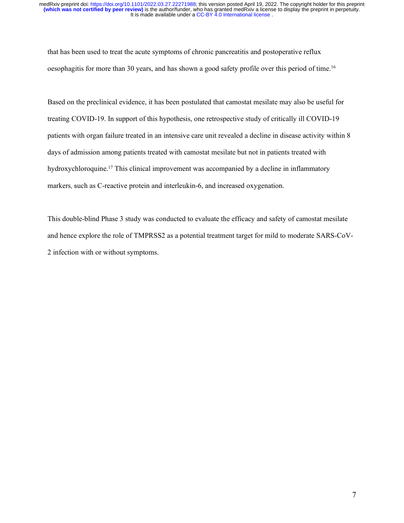that has been used to treat the acute symptoms of chronic pancreatitis and postoperative reflux oesophagitis for more than 30 years, and has shown a good safety profile over this period of time.16

Based on the preclinical evidence, it has been postulated that camostat mesilate may also be useful for treating COVID-19. In support of this hypothesis, one retrospective study of critically ill COVID-19 patients with organ failure treated in an intensive care unit revealed a decline in disease activity within 8 days of admission among patients treated with camostat mesilate but not in patients treated with hydroxychloroquine.<sup>17</sup> This clinical improvement was accompanied by a decline in inflammatory markers, such as C-reactive protein and interleukin-6, and increased oxygenation.

This double-blind Phase 3 study was conducted to evaluate the efficacy and safety of camostat mesilate and hence explore the role of TMPRSS2 as a potential treatment target for mild to moderate SARS-CoV-2 infection with or without symptoms.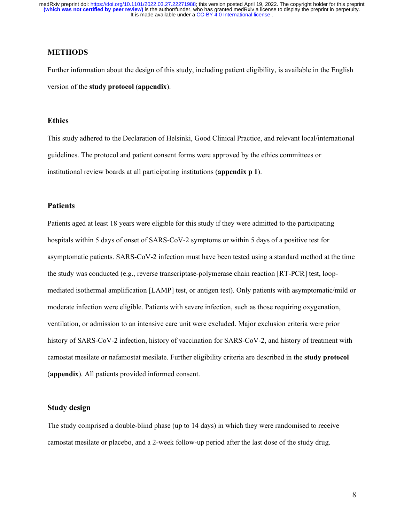## **METHODS**

Further information about the design of this study, including patient eligibility, is available in the English version of the **study protocol** (**appendix**).

### **Ethics**

This study adhered to the Declaration of Helsinki, Good Clinical Practice, and relevant local/international guidelines. The protocol and patient consent forms were approved by the ethics committees or institutional review boards at all participating institutions (**appendix p 1**).

#### **Patients**

Patients aged at least 18 years were eligible for this study if they were admitted to the participating hospitals within 5 days of onset of SARS-CoV-2 symptoms or within 5 days of a positive test for asymptomatic patients. SARS-CoV-2 infection must have been tested using a standard method at the time the study was conducted (e.g., reverse transcriptase-polymerase chain reaction [RT-PCR] test, loopmediated isothermal amplification [LAMP] test, or antigen test). Only patients with asymptomatic/mild or moderate infection were eligible. Patients with severe infection, such as those requiring oxygenation, ventilation, or admission to an intensive care unit were excluded. Major exclusion criteria were prior history of SARS-CoV-2 infection, history of vaccination for SARS-CoV-2, and history of treatment with camostat mesilate or nafamostat mesilate. Further eligibility criteria are described in the **study protocol** (**appendix**). All patients provided informed consent.

### **Study design**

The study comprised a double-blind phase (up to 14 days) in which they were randomised to receive camostat mesilate or placebo, and a 2-week follow-up period after the last dose of the study drug.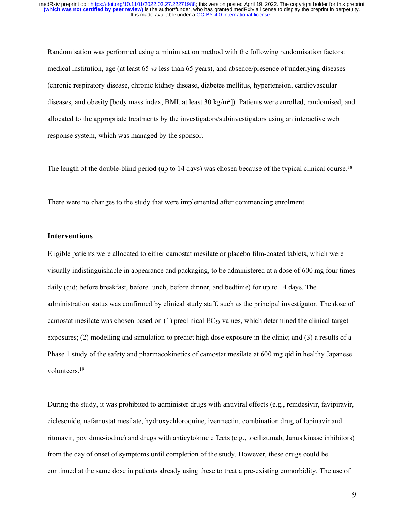Randomisation was performed using a minimisation method with the following randomisation factors: medical institution, age (at least 65 *vs* less than 65 years), and absence/presence of underlying diseases (chronic respiratory disease, chronic kidney disease, diabetes mellitus, hypertension, cardiovascular diseases, and obesity [body mass index, BMI, at least 30 kg/m2]). Patients were enrolled, randomised, and allocated to the appropriate treatments by the investigators/subinvestigators using an interactive web response system, which was managed by the sponsor.

The length of the double-blind period (up to 14 days) was chosen because of the typical clinical course.<sup>18</sup>

There were no changes to the study that were implemented after commencing enrolment.

### **Interventions**

Eligible patients were allocated to either camostat mesilate or placebo film-coated tablets, which were visually indistinguishable in appearance and packaging, to be administered at a dose of 600 mg four times daily (qid; before breakfast, before lunch, before dinner, and bedtime) for up to 14 days. The administration status was confirmed by clinical study staff, such as the principal investigator. The dose of camostat mesilate was chosen based on  $(1)$  preclinical EC<sub>50</sub> values, which determined the clinical target exposures; (2) modelling and simulation to predict high dose exposure in the clinic; and (3) a results of a Phase 1 study of the safety and pharmacokinetics of camostat mesilate at 600 mg qid in healthy Japanese volunteers. 19

During the study, it was prohibited to administer drugs with antiviral effects (e.g., remdesivir, favipiravir, ciclesonide, nafamostat mesilate, hydroxychloroquine, ivermectin, combination drug of lopinavir and ritonavir, povidone-iodine) and drugs with anticytokine effects (e.g., tocilizumab, Janus kinase inhibitors) from the day of onset of symptoms until completion of the study. However, these drugs could be continued at the same dose in patients already using these to treat a pre-existing comorbidity. The use of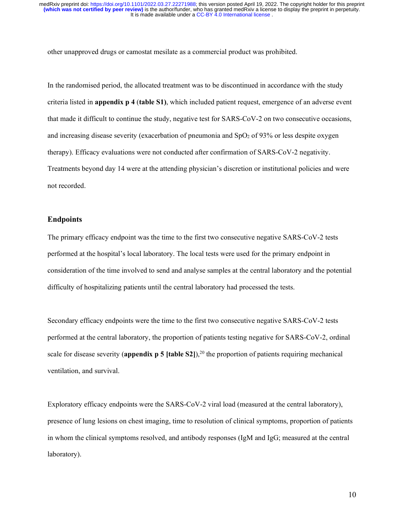other unapproved drugs or camostat mesilate as a commercial product was prohibited.

In the randomised period, the allocated treatment was to be discontinued in accordance with the study criteria listed in **appendix p 4** (**table S1)**, which included patient request, emergence of an adverse event that made it difficult to continue the study, negative test for SARS-CoV-2 on two consecutive occasions, and increasing disease severity (exacerbation of pneumonia and  $SpO<sub>2</sub>$  of 93% or less despite oxygen therapy). Efficacy evaluations were not conducted after confirmation of SARS-CoV-2 negativity. Treatments beyond day 14 were at the attending physician's discretion or institutional policies and were not recorded.

### **Endpoints**

The primary efficacy endpoint was the time to the first two consecutive negative SARS-CoV-2 tests performed at the hospital's local laboratory. The local tests were used for the primary endpoint in consideration of the time involved to send and analyse samples at the central laboratory and the potential difficulty of hospitalizing patients until the central laboratory had processed the tests.

Secondary efficacy endpoints were the time to the first two consecutive negative SARS-CoV-2 tests performed at the central laboratory, the proportion of patients testing negative for SARS-CoV-2, ordinal scale for disease severity (**appendix p 5** [table S2]),<sup>20</sup> the proportion of patients requiring mechanical ventilation, and survival.

Exploratory efficacy endpoints were the SARS-CoV-2 viral load (measured at the central laboratory), presence of lung lesions on chest imaging, time to resolution of clinical symptoms, proportion of patients in whom the clinical symptoms resolved, and antibody responses (IgM and IgG; measured at the central laboratory).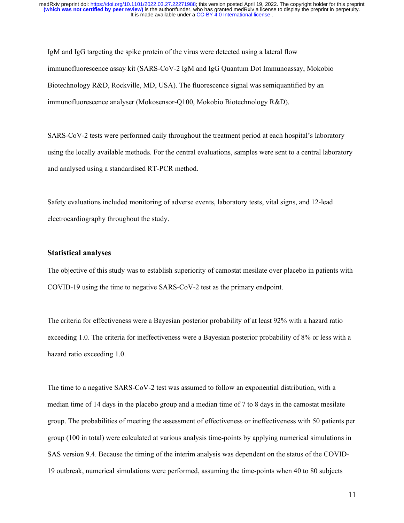IgM and IgG targeting the spike protein of the virus were detected using a lateral flow immunofluorescence assay kit (SARS-CoV-2 IgM and IgG Quantum Dot Immunoassay, Mokobio Biotechnology R&D, Rockville, MD, USA). The fluorescence signal was semiquantified by an immunofluorescence analyser (Mokosensor-Q100, Mokobio Biotechnology R&D).

SARS-CoV-2 tests were performed daily throughout the treatment period at each hospital's laboratory using the locally available methods. For the central evaluations, samples were sent to a central laboratory and analysed using a standardised RT-PCR method.

Safety evaluations included monitoring of adverse events, laboratory tests, vital signs, and 12-lead electrocardiography throughout the study.

#### **Statistical analyses**

The objective of this study was to establish superiority of camostat mesilate over placebo in patients with COVID-19 using the time to negative SARS-CoV-2 test as the primary endpoint.

The criteria for effectiveness were a Bayesian posterior probability of at least 92% with a hazard ratio exceeding 1.0. The criteria for ineffectiveness were a Bayesian posterior probability of 8% or less with a hazard ratio exceeding 1.0.

The time to a negative SARS-CoV-2 test was assumed to follow an exponential distribution, with a median time of 14 days in the placebo group and a median time of 7 to 8 days in the camostat mesilate group. The probabilities of meeting the assessment of effectiveness or ineffectiveness with 50 patients per group (100 in total) were calculated at various analysis time-points by applying numerical simulations in SAS version 9.4. Because the timing of the interim analysis was dependent on the status of the COVID-19 outbreak, numerical simulations were performed, assuming the time-points when 40 to 80 subjects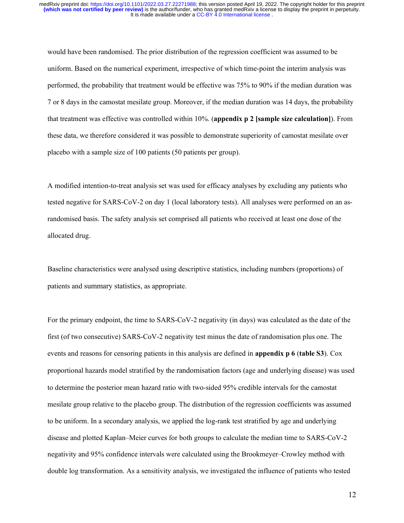would have been randomised. The prior distribution of the regression coefficient was assumed to be uniform. Based on the numerical experiment, irrespective of which time-point the interim analysis was performed, the probability that treatment would be effective was 75% to 90% if the median duration was 7 or 8 days in the camostat mesilate group. Moreover, if the median duration was 14 days, the probability that treatment was effective was controlled within 10%. (**appendix p 2 [sample size calculation]**). From these data, we therefore considered it was possible to demonstrate superiority of camostat mesilate over placebo with a sample size of 100 patients (50 patients per group).

A modified intention-to-treat analysis set was used for efficacy analyses by excluding any patients who tested negative for SARS-CoV-2 on day 1 (local laboratory tests). All analyses were performed on an asrandomised basis. The safety analysis set comprised all patients who received at least one dose of the allocated drug.

Baseline characteristics were analysed using descriptive statistics, including numbers (proportions) of patients and summary statistics, as appropriate.

For the primary endpoint, the time to SARS-CoV-2 negativity (in days) was calculated as the date of the first (of two consecutive) SARS-CoV-2 negativity test minus the date of randomisation plus one. The events and reasons for censoring patients in this analysis are defined in **appendix p 6** (**table S3**). Cox proportional hazards model stratified by the randomisation factors (age and underlying disease) was used to determine the posterior mean hazard ratio with two-sided 95% credible intervals for the camostat mesilate group relative to the placebo group. The distribution of the regression coefficients was assumed to be uniform. In a secondary analysis, we applied the log-rank test stratified by age and underlying disease and plotted Kaplan–Meier curves for both groups to calculate the median time to SARS-CoV-2 negativity and 95% confidence intervals were calculated using the Brookmeyer–Crowley method with double log transformation. As a sensitivity analysis, we investigated the influence of patients who tested

12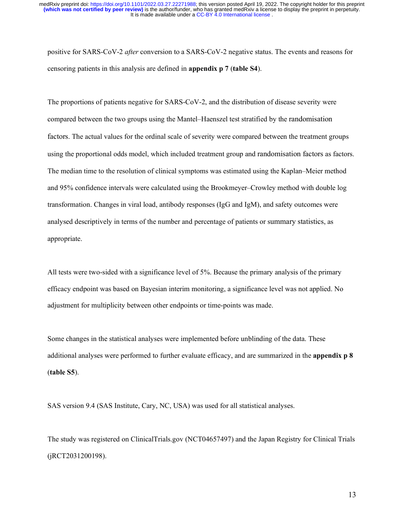positive for SARS-CoV-2 *after* conversion to a SARS-CoV-2 negative status. The events and reasons for censoring patients in this analysis are defined in **appendix p 7** (**table S4**).

The proportions of patients negative for SARS-CoV-2, and the distribution of disease severity were compared between the two groups using the Mantel–Haenszel test stratified by the randomisation factors. The actual values for the ordinal scale of severity were compared between the treatment groups using the proportional odds model, which included treatment group and randomisation factors as factors. The median time to the resolution of clinical symptoms was estimated using the Kaplan–Meier method and 95% confidence intervals were calculated using the Brookmeyer–Crowley method with double log transformation. Changes in viral load, antibody responses (IgG and IgM), and safety outcomes were analysed descriptively in terms of the number and percentage of patients or summary statistics, as appropriate.

All tests were two-sided with a significance level of 5%. Because the primary analysis of the primary efficacy endpoint was based on Bayesian interim monitoring, a significance level was not applied. No adjustment for multiplicity between other endpoints or time-points was made.

Some changes in the statistical analyses were implemented before unblinding of the data. These additional analyses were performed to further evaluate efficacy, and are summarized in the **appendix p 8**  (**table S5**).

SAS version 9.4 (SAS Institute, Cary, NC, USA) was used for all statistical analyses.

The study was registered on ClinicalTrials.gov (NCT04657497) and the Japan Registry for Clinical Trials (jRCT2031200198).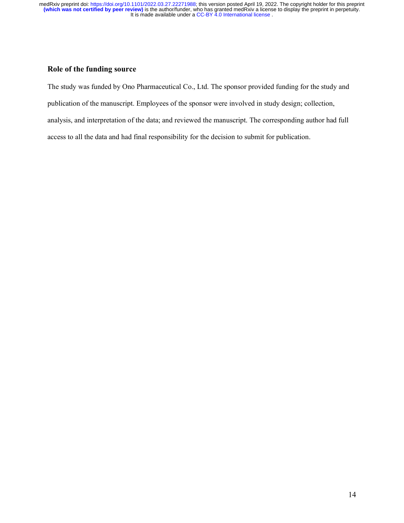## **Role of the funding source**

The study was funded by Ono Pharmaceutical Co., Ltd. The sponsor provided funding for the study and publication of the manuscript. Employees of the sponsor were involved in study design; collection, analysis, and interpretation of the data; and reviewed the manuscript. The corresponding author had full access to all the data and had final responsibility for the decision to submit for publication.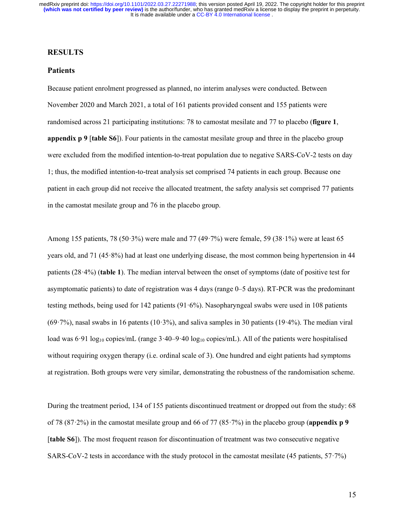### **RESULTS**

### **Patients**

Because patient enrolment progressed as planned, no interim analyses were conducted. Between November 2020 and March 2021, a total of 161 patients provided consent and 155 patients were randomised across 21 participating institutions: 78 to camostat mesilate and 77 to placebo (**figure 1**, **appendix p 9** [**table S6**]). Four patients in the camostat mesilate group and three in the placebo group were excluded from the modified intention-to-treat population due to negative SARS-CoV-2 tests on day 1; thus, the modified intention-to-treat analysis set comprised 74 patients in each group. Because one patient in each group did not receive the allocated treatment, the safety analysis set comprised 77 patients in the camostat mesilate group and 76 in the placebo group.

Among 155 patients, 78 (50·3%) were male and 77 (49·7%) were female, 59 (38·1%) were at least 65 years old, and 71 (45·8%) had at least one underlying disease, the most common being hypertension in 44 patients (28·4%) (**table 1**). The median interval between the onset of symptoms (date of positive test for asymptomatic patients) to date of registration was 4 days (range 0–5 days). RT-PCR was the predominant testing methods, being used for 142 patients (91·6%). Nasopharyngeal swabs were used in 108 patients  $(69.7%)$ , nasal swabs in 16 patents  $(10.3%)$ , and saliva samples in 30 patients  $(19.4%)$ . The median viral load was 6.91 log<sub>10</sub> copies/mL (range 3.40–9.40 log<sub>10</sub> copies/mL). All of the patients were hospitalised without requiring oxygen therapy (i.e. ordinal scale of 3). One hundred and eight patients had symptoms at registration. Both groups were very similar, demonstrating the robustness of the randomisation scheme.

During the treatment period, 134 of 155 patients discontinued treatment or dropped out from the study: 68 of 78 (87·2%) in the camostat mesilate group and 66 of 77 (85·7%) in the placebo group (**appendix p 9** [**table S6**]). The most frequent reason for discontinuation of treatment was two consecutive negative SARS-CoV-2 tests in accordance with the study protocol in the camostat mesilate (45 patients, 57·7%)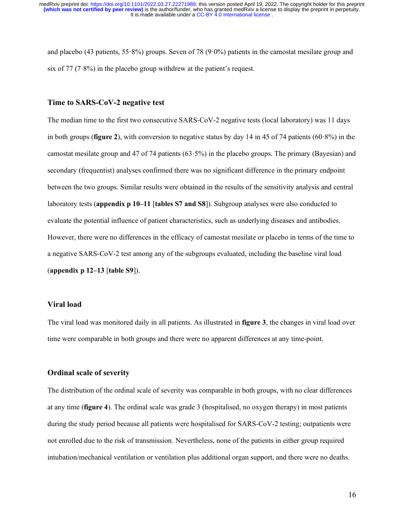and placebo (43 patients, 55 $\cdot$ 8%) groups. Seven of 78 (9 $\cdot$ 0%) patients in the camostat mesilate group and six of 77 (7 $\cdot$ 8%) in the placebo group withdrew at the patient's request.

#### **Time to SARS-CoV-2 negative test**

The median time to the first two consecutive SARS-CoV-2 negative tests (local laboratory) was 11 days in both groups (**figure 2**), with conversion to negative status by day 14 in 45 of 74 patients (60·8%) in the camostat mesilate group and 47 of 74 patients  $(63.5\%)$  in the placebo groups. The primary (Bayesian) and secondary (frequentist) analyses confirmed there was no significant difference in the primary endpoint between the two groups. Similar results were obtained in the results of the sensitivity analysis and central laboratory tests (**appendix p 10–11** [**tables S7 and S8**]). Subgroup analyses were also conducted to evaluate the potential influence of patient characteristics, such as underlying diseases and antibodies. However, there were no differences in the efficacy of camostat mesilate or placebo in terms of the time to a negative SARS-CoV-2 test among any of the subgroups evaluated, including the baseline viral load (**appendix p 12–13** [**table S9**]).

#### **Viral load**

The viral load was monitored daily in all patients. As illustrated in **figure 3**, the changes in viral load over time were comparable in both groups and there were no apparent differences at any time-point.

### **Ordinal scale of severity**

The distribution of the ordinal scale of severity was comparable in both groups, with no clear differences at any time (**figure 4**). The ordinal scale was grade 3 (hospitalised, no oxygen therapy) in most patients during the study period because all patients were hospitalised for SARS-CoV-2 testing; outpatients were not enrolled due to the risk of transmission. Nevertheless, none of the patients in either group required intubation/mechanical ventilation or ventilation plus additional organ support, and there were no deaths.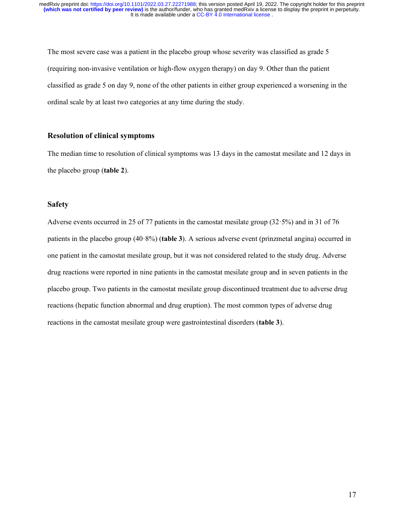The most severe case was a patient in the placebo group whose severity was classified as grade 5 (requiring non-invasive ventilation or high-flow oxygen therapy) on day 9. Other than the patient classified as grade 5 on day 9, none of the other patients in either group experienced a worsening in the ordinal scale by at least two categories at any time during the study.

### **Resolution of clinical symptoms**

The median time to resolution of clinical symptoms was 13 days in the camostat mesilate and 12 days in the placebo group (**table 2**).

### **Safety**

Adverse events occurred in 25 of 77 patients in the camostat mesilate group (32·5%) and in 31 of 76 patients in the placebo group (40·8%) (**table 3**). A serious adverse event (prinzmetal angina) occurred in one patient in the camostat mesilate group, but it was not considered related to the study drug. Adverse drug reactions were reported in nine patients in the camostat mesilate group and in seven patients in the placebo group. Two patients in the camostat mesilate group discontinued treatment due to adverse drug reactions (hepatic function abnormal and drug eruption). The most common types of adverse drug reactions in the camostat mesilate group were gastrointestinal disorders (**table 3**).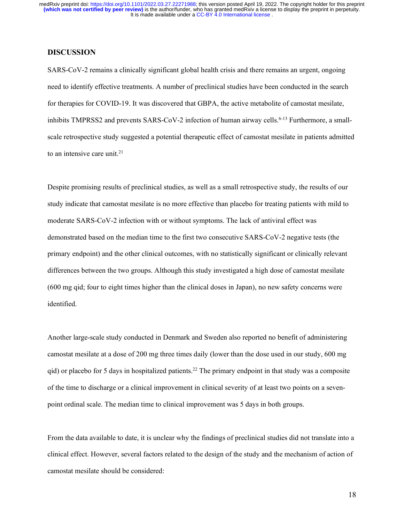### **DISCUSSION**

SARS-CoV-2 remains a clinically significant global health crisis and there remains an urgent, ongoing need to identify effective treatments. A number of preclinical studies have been conducted in the search for therapies for COVID-19. It was discovered that GBPA, the active metabolite of camostat mesilate, inhibits TMPRSS2 and prevents SARS-CoV-2 infection of human airway cells.<sup>6-13</sup> Furthermore, a smallscale retrospective study suggested a potential therapeutic effect of camostat mesilate in patients admitted to an intensive care unit. $21$ 

Despite promising results of preclinical studies, as well as a small retrospective study, the results of our study indicate that camostat mesilate is no more effective than placebo for treating patients with mild to moderate SARS-CoV-2 infection with or without symptoms. The lack of antiviral effect was demonstrated based on the median time to the first two consecutive SARS-CoV-2 negative tests (the primary endpoint) and the other clinical outcomes, with no statistically significant or clinically relevant differences between the two groups. Although this study investigated a high dose of camostat mesilate (600 mg qid; four to eight times higher than the clinical doses in Japan), no new safety concerns were identified.

Another large-scale study conducted in Denmark and Sweden also reported no benefit of administering camostat mesilate at a dose of 200 mg three times daily (lower than the dose used in our study, 600 mg qid) or placebo for 5 days in hospitalized patients. <sup>22</sup> The primary endpoint in that study was a composite of the time to discharge or a clinical improvement in clinical severity of at least two points on a sevenpoint ordinal scale. The median time to clinical improvement was 5 days in both groups.

From the data available to date, it is unclear why the findings of preclinical studies did not translate into a clinical effect. However, several factors related to the design of the study and the mechanism of action of camostat mesilate should be considered:

18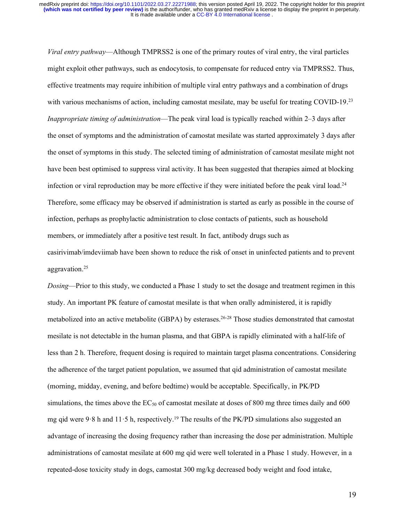*Viral entry pathway*—Although TMPRSS2 is one of the primary routes of viral entry, the viral particles might exploit other pathways, such as endocytosis, to compensate for reduced entry via TMPRSS2. Thus, effective treatments may require inhibition of multiple viral entry pathways and a combination of drugs with various mechanisms of action, including camostat mesilate, may be useful for treating COVID-19.<sup>23</sup> *Inappropriate timing of administration*—The peak viral load is typically reached within 2–3 days after the onset of symptoms and the administration of camostat mesilate was started approximately 3 days after the onset of symptoms in this study. The selected timing of administration of camostat mesilate might not have been best optimised to suppress viral activity. It has been suggested that therapies aimed at blocking infection or viral reproduction may be more effective if they were initiated before the peak viral load.<sup>24</sup> Therefore, some efficacy may be observed if administration is started as early as possible in the course of infection, perhaps as prophylactic administration to close contacts of patients, such as household members, or immediately after a positive test result. In fact, antibody drugs such as casirivimab/imdeviimab have been shown to reduce the risk of onset in uninfected patients and to prevent aggravation.25

*Dosing*—Prior to this study, we conducted a Phase 1 study to set the dosage and treatment regimen in this study. An important PK feature of camostat mesilate is that when orally administered, it is rapidly metabolized into an active metabolite (GBPA) by esterases.<sup>26-28</sup> Those studies demonstrated that camostat mesilate is not detectable in the human plasma, and that GBPA is rapidly eliminated with a half-life of less than 2 h. Therefore, frequent dosing is required to maintain target plasma concentrations. Considering the adherence of the target patient population, we assumed that qid administration of camostat mesilate (morning, midday, evening, and before bedtime) would be acceptable. Specifically, in PK/PD simulations, the times above the  $EC_{50}$  of camostat mesilate at doses of 800 mg three times daily and 600 mg qid were 9.8 h and 11.5 h, respectively.<sup>19</sup> The results of the PK/PD simulations also suggested an advantage of increasing the dosing frequency rather than increasing the dose per administration. Multiple administrations of camostat mesilate at 600 mg qid were well tolerated in a Phase 1 study. However, in a repeated-dose toxicity study in dogs, camostat 300 mg/kg decreased body weight and food intake,

19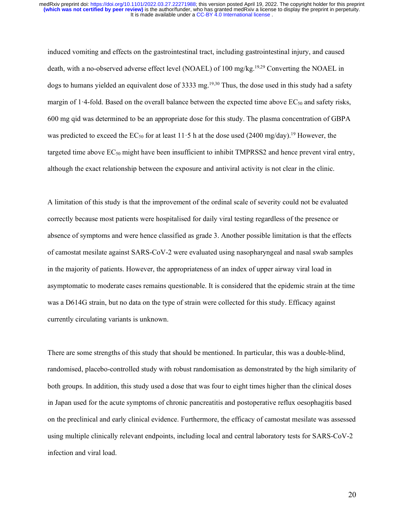induced vomiting and effects on the gastrointestinal tract, including gastrointestinal injury, and caused death, with a no-observed adverse effect level (NOAEL) of 100 mg/kg.19,29 Converting the NOAEL in dogs to humans yielded an equivalent dose of 3333 mg. 19,30 Thus, the dose used in this study had a safety margin of 1.4-fold. Based on the overall balance between the expected time above  $EC_{50}$  and safety risks, 600 mg qid was determined to be an appropriate dose for this study. The plasma concentration of GBPA was predicted to exceed the  $EC_{50}$  for at least 11.5 h at the dose used (2400 mg/day).<sup>19</sup> However, the targeted time above  $EC_{50}$  might have been insufficient to inhibit TMPRSS2 and hence prevent viral entry, although the exact relationship between the exposure and antiviral activity is not clear in the clinic.

A limitation of this study is that the improvement of the ordinal scale of severity could not be evaluated correctly because most patients were hospitalised for daily viral testing regardless of the presence or absence of symptoms and were hence classified as grade 3. Another possible limitation is that the effects of camostat mesilate against SARS-CoV-2 were evaluated using nasopharyngeal and nasal swab samples in the majority of patients. However, the appropriateness of an index of upper airway viral load in asymptomatic to moderate cases remains questionable. It is considered that the epidemic strain at the time was a D614G strain, but no data on the type of strain were collected for this study. Efficacy against currently circulating variants is unknown.

There are some strengths of this study that should be mentioned. In particular, this was a double-blind, randomised, placebo-controlled study with robust randomisation as demonstrated by the high similarity of both groups. In addition, this study used a dose that was four to eight times higher than the clinical doses in Japan used for the acute symptoms of chronic pancreatitis and postoperative reflux oesophagitis based on the preclinical and early clinical evidence. Furthermore, the efficacy of camostat mesilate was assessed using multiple clinically relevant endpoints, including local and central laboratory tests for SARS-CoV-2 infection and viral load.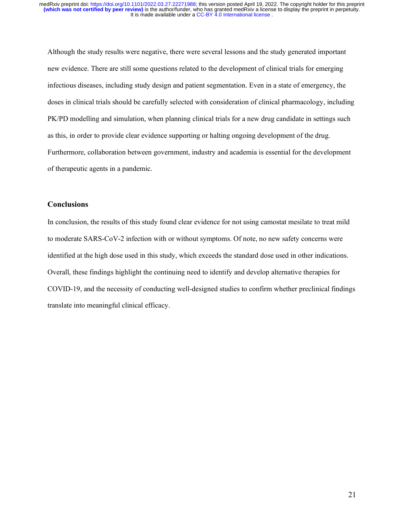Although the study results were negative, there were several lessons and the study generated important new evidence. There are still some questions related to the development of clinical trials for emerging infectious diseases, including study design and patient segmentation. Even in a state of emergency, the doses in clinical trials should be carefully selected with consideration of clinical pharmacology, including PK/PD modelling and simulation, when planning clinical trials for a new drug candidate in settings such as this, in order to provide clear evidence supporting or halting ongoing development of the drug. Furthermore, collaboration between government, industry and academia is essential for the development of therapeutic agents in a pandemic.

### **Conclusions**

In conclusion, the results of this study found clear evidence for not using camostat mesilate to treat mild to moderate SARS-CoV-2 infection with or without symptoms. Of note, no new safety concerns were identified at the high dose used in this study, which exceeds the standard dose used in other indications. Overall, these findings highlight the continuing need to identify and develop alternative therapies for COVID-19, and the necessity of conducting well-designed studies to confirm whether preclinical findings translate into meaningful clinical efficacy.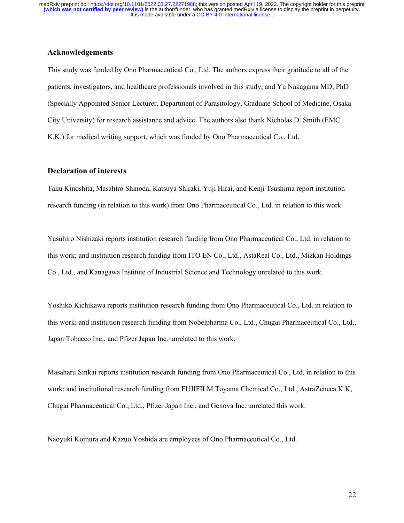### **Acknowledgements**

This study was funded by Ono Pharmaceutical Co., Ltd. The authors express their gratitude to all of the patients, investigators, and healthcare professionals involved in this study, and Yu Nakagama MD, PhD (Specially Appointed Senior Lecturer, Department of Parasitology, Graduate School of Medicine, Osaka City University) for research assistance and advice. The authors also thank Nicholas D. Smith (EMC K.K.) for medical writing support, which was funded by Ono Pharmaceutical Co., Ltd.

### **Declaration of interests**

Taku Kinoshita, Masahiro Shinoda, Katsuya Shiraki, Yuji Hirai, and Kenji Tsushima report institution research funding (in relation to this work) from Ono Pharmaceutical Co., Ltd. in relation to this work.

Yasuhiro Nishizaki reports institution research funding from Ono Pharmaceutical Co., Ltd. in relation to this work; and institution research funding from ITO EN Co., Ltd., AstaReal Co., Ltd., Mizkan Holdings Co., Ltd., and Kanagawa Institute of Industrial Science and Technology unrelated to this work.

Yoshiko Kichikawa reports institution research funding from Ono Pharmaceutical Co., Ltd. in relation to this work; and institution research funding from Nobelpharma Co., Ltd., Chugai Pharmaceutical Co., Ltd., Japan Tobacco Inc., and Pfizer Japan Inc. unrelated to this work.

Masaharu Sinkai reports institution research funding from Ono Pharmaceutical Co., Ltd. in relation to this work; and institutional research funding from FUJIFILM Toyama Chemical Co., Ltd., AstraZeneca K.K, Chugai Pharmaceutical Co., Ltd., Pfizer Japan Inc., and Genova Inc. unrelated this work.

Naoyuki Komura and Kazuo Yoshida are employees of Ono Pharmaceutical Co., Ltd.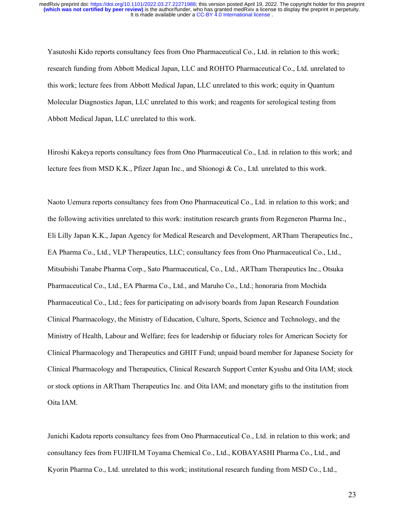Yasutoshi Kido reports consultancy fees from Ono Pharmaceutical Co., Ltd. in relation to this work; research funding from Abbott Medical Japan, LLC and ROHTO Pharmaceutical Co., Ltd. unrelated to this work; lecture fees from Abbott Medical Japan, LLC unrelated to this work; equity in Quantum Molecular Diagnostics Japan, LLC unrelated to this work; and reagents for serological testing from Abbott Medical Japan, LLC unrelated to this work.

Hiroshi Kakeya reports consultancy fees from Ono Pharmaceutical Co., Ltd. in relation to this work; and lecture fees from MSD K.K., Pfizer Japan Inc., and Shionogi & Co., Ltd. unrelated to this work.

Naoto Uemura reports consultancy fees from Ono Pharmaceutical Co., Ltd. in relation to this work; and the following activities unrelated to this work: institution research grants from Regeneron Pharma Inc., Eli Lilly Japan K.K., Japan Agency for Medical Research and Development, ARTham Therapeutics Inc., EA Pharma Co., Ltd., VLP Therapeutics, LLC; consultancy fees from Ono Pharmaceutical Co., Ltd., Mitsubishi Tanabe Pharma Corp., Sato Pharmaceutical, Co., Ltd., ARTham Therapeutics Inc., Otsuka Pharmaceutical Co., Ltd., EA Pharma Co., Ltd., and Maruho Co., Ltd.; honoraria from Mochida Pharmaceutical Co., Ltd.; fees for participating on advisory boards from Japan Research Foundation Clinical Pharmacology, the Ministry of Education, Culture, Sports, Science and Technology, and the Ministry of Health, Labour and Welfare; fees for leadership or fiduciary roles for American Society for Clinical Pharmacology and Therapeutics and GHIT Fund; unpaid board member for Japanese Society for Clinical Pharmacology and Therapeutics, Clinical Research Support Center Kyushu and Oita IAM; stock or stock options in ARTham Therapeutics Inc. and Oita IAM; and monetary gifts to the institution from Oita IAM.

Junichi Kadota reports consultancy fees from Ono Pharmaceutical Co., Ltd. in relation to this work; and consultancy fees from FUJIFILM Toyama Chemical Co., Ltd., KOBAYASHI Pharma Co., Ltd., and Kyorin Pharma Co., Ltd. unrelated to this work; institutional research funding from MSD Co., Ltd.,

23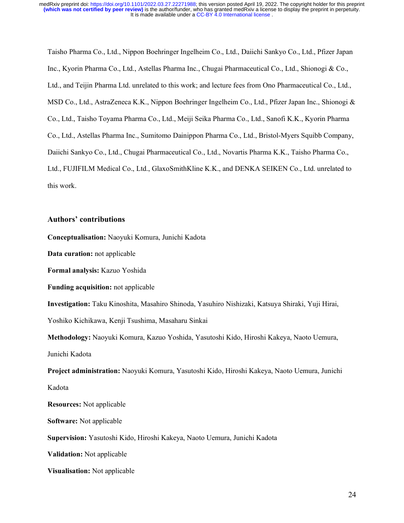Taisho Pharma Co., Ltd., Nippon Boehringer Ingelheim Co., Ltd., Daiichi Sankyo Co., Ltd., Pfizer Japan Inc., Kyorin Pharma Co., Ltd., Astellas Pharma Inc., Chugai Pharmaceutical Co., Ltd., Shionogi & Co., Ltd., and Teijin Pharma Ltd. unrelated to this work; and lecture fees from Ono Pharmaceutical Co., Ltd., MSD Co., Ltd., AstraZeneca K.K., Nippon Boehringer Ingelheim Co., Ltd., Pfizer Japan Inc., Shionogi & Co., Ltd., Taisho Toyama Pharma Co., Ltd., Meiji Seika Pharma Co., Ltd., Sanofi K.K., Kyorin Pharma Co., Ltd., Astellas Pharma Inc., Sumitomo Dainippon Pharma Co., Ltd., Bristol-Myers Squibb Company, Daiichi Sankyo Co., Ltd., Chugai Pharmaceutical Co., Ltd., Novartis Pharma K.K., Taisho Pharma Co., Ltd., FUJIFILM Medical Co., Ltd., GlaxoSmithKline K.K., and DENKA SEIKEN Co., Ltd. unrelated to this work.

#### **Authors' contributions**

**Conceptualisation:** Naoyuki Komura, Junichi Kadota

**Data curation:** not applicable

**Formal analysis:** Kazuo Yoshida

**Funding acquisition:** not applicable

**Investigation:** Taku Kinoshita, Masahiro Shinoda, Yasuhiro Nishizaki, Katsuya Shiraki, Yuji Hirai, Yoshiko Kichikawa, Kenji Tsushima, Masaharu Sinkai

**Methodology:** Naoyuki Komura, Kazuo Yoshida, Yasutoshi Kido, Hiroshi Kakeya, Naoto Uemura, Junichi Kadota

**Project administration:** Naoyuki Komura, Yasutoshi Kido, Hiroshi Kakeya, Naoto Uemura, Junichi Kadota

**Resources:** Not applicable

**Software:** Not applicable

**Supervision:** Yasutoshi Kido, Hiroshi Kakeya, Naoto Uemura, Junichi Kadota

**Validation:** Not applicable

**Visualisation:** Not applicable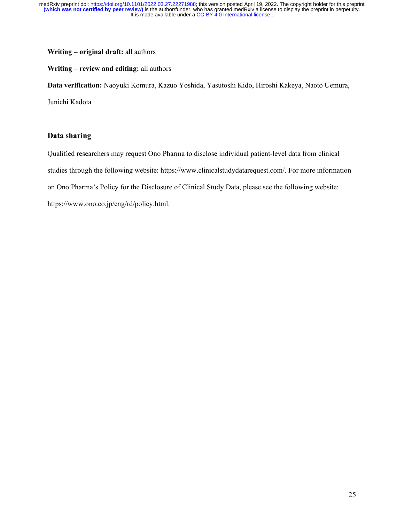### **Writing – original draft:** all authors

#### **Writing – review and editing:** all authors

**Data verification:** Naoyuki Komura, Kazuo Yoshida, Yasutoshi Kido, Hiroshi Kakeya, Naoto Uemura,

Junichi Kadota

## **Data sharing**

Qualified researchers may request Ono Pharma to disclose individual patient-level data from clinical studies through the following website: https://www.clinicalstudydatarequest.com/. For more information on Ono Pharma's Policy for the Disclosure of Clinical Study Data, please see the following website: https://www.ono.co.jp/eng/rd/policy.html.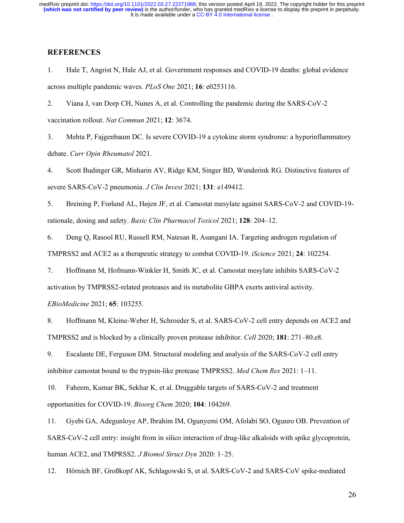### **REFERENCES**

1. Hale T, Angrist N, Hale AJ, et al. Government responses and COVID-19 deaths: global evidence across multiple pandemic waves. *PLoS One* 2021; **16**: e0253116.

2. Viana J, van Dorp CH, Nunes A, et al. Controlling the pandemic during the SARS-CoV-2 vaccination rollout. *Nat Commun* 2021; **12**: 3674.

3. Mehta P, Fajgenbaum DC. Is severe COVID-19 a cytokine storm syndrome: a hyperinflammatory debate. *Curr Opin Rheumatol* 2021.

4. Scott Budinger GR, Misharin AV, Ridge KM, Singer BD, Wunderink RG. Distinctive features of severe SARS-CoV-2 pneumonia. *J Clin Invest* 2021; **131**: e149412.

5. Breining P, Frølund AL, Højen JF, et al. Camostat mesylate against SARS-CoV-2 and COVID-19 rationale, dosing and safety. *Basic Clin Pharmacol Toxicol* 2021; **128**: 204–12.

6. Deng Q, Rasool RU, Russell RM, Natesan R, Asangani IA. Targeting androgen regulation of TMPRSS2 and ACE2 as a therapeutic strategy to combat COVID-19. *iScience* 2021; **24**: 102254.

7. Hoffmann M, Hofmann-Winkler H, Smith JC, et al. Camostat mesylate inhibits SARS-CoV-2

activation by TMPRSS2-related proteases and its metabolite GBPA exerts antiviral activity.

*EBioMedicine* 2021; **65**: 103255.

8. Hoffmann M, Kleine-Weber H, Schroeder S, et al. SARS-CoV-2 cell entry depends on ACE2 and TMPRSS2 and is blocked by a clinically proven protease inhibitor. *Cell* 2020; **181**: 271–80.e8.

9. Escalante DE, Ferguson DM. Structural modeling and analysis of the SARS-CoV-2 cell entry inhibitor camostat bound to the trypsin-like protease TMPRSS2. *Med Chem Res* 2021: 1–11.

10. Faheem, Kumar BK, Sekhar K, et al. Druggable targets of SARS-CoV-2 and treatment opportunities for COVID-19. *Bioorg Chem* 2020; **104**: 104269.

11. Gyebi GA, Adegunloye AP, Ibrahim IM, Ogunyemi OM, Afolabi SO, Ogunro OB. Prevention of SARS-CoV-2 cell entry: insight from in silico interaction of drug-like alkaloids with spike glycoprotein, human ACE2, and TMPRSS2. *J Biomol Struct Dyn* 2020: 1–25.

12. Hörnich BF, Großkopf AK, Schlagowski S, et al. SARS-CoV-2 and SARS-CoV spike-mediated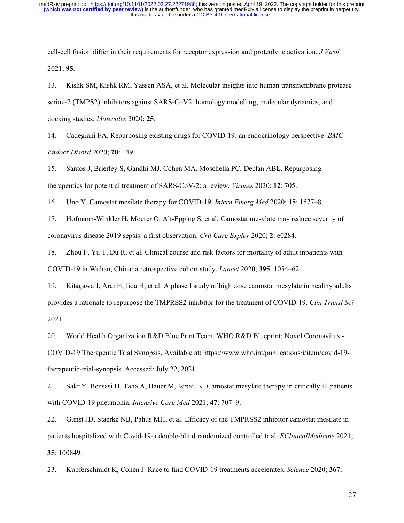cell-cell fusion differ in their requirements for receptor expression and proteolytic activation. *J Virol* 2021; **95**.

13. Kishk SM, Kishk RM, Yassen ASA, et al. Molecular insights into human transmembrane protease serine-2 (TMPS2) inhibitors against SARS-CoV2: homology modelling, molecular dynamics, and docking studies. *Molecules* 2020; **25**.

14. Cadegiani FA. Repurposing existing drugs for COVID-19: an endocrinology perspective. *BMC Endocr Disord* 2020; **20**: 149.

15. Santos J, Brierley S, Gandhi MJ, Cohen MA, Moschella PC, Declan ABL. Repurposing therapeutics for potential treatment of SARS-CoV-2: a review. *Viruses* 2020; **12**: 705.

16. Uno Y. Camostat mesilate therapy for COVID-19. *Intern Emerg Med* 2020; **15**: 1577–8.

17. Hofmann-Winkler H, Moerer O, Alt-Epping S, et al. Camostat mesylate may reduce severity of coronavirus disease 2019 sepsis: a first observation. *Crit Care Explor* 2020; **2**: e0284.

18. Zhou F, Yu T, Du R, et al. Clinical course and risk factors for mortality of adult inpatients with COVID-19 in Wuhan, China: a retrospective cohort study. *Lancet* 2020; **395**: 1054–62.

19. Kitagawa J, Arai H, Iida H, et al. A phase I study of high dose camostat mesylate in healthy adults provides a rationale to repurpose the TMPRSS2 inhibitor for the treatment of COVID-19. *Clin Transl Sci* 2021.

20. World Health Organization R&D Blue Print Team. WHO R&D Blueprint: Novel Coronavirus - COVID-19 Therapeutic Trial Synopsis. Available at: https://www.who.int/publications/i/item/covid-19 therapeutic-trial-synopsis. Accessed: July 22, 2021.

21. Sakr Y, Bensasi H, Taha A, Bauer M, Ismail K. Camostat mesylate therapy in critically ill patients with COVID-19 pneumonia. *Intensive Care Med* 2021; **47**: 707–9.

22. Gunst JD, Staerke NB, Pahus MH, et al. Efficacy of the TMPRSS2 inhibitor camostat mesilate in patients hospitalized with Covid-19-a double-blind randomized controlled trial. *EClinicalMedicine* 2021; **35**: 100849.

23. Kupferschmidt K, Cohen J. Race to find COVID-19 treatments accelerates. *Science* 2020; **367**: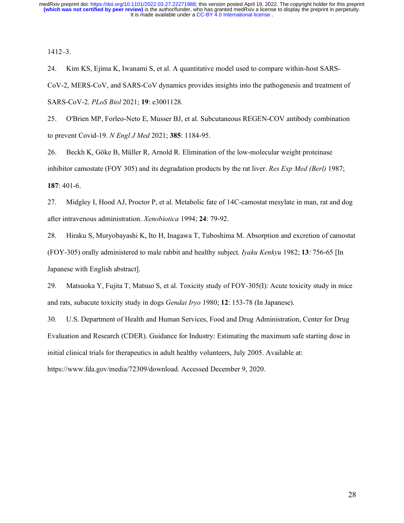1412–3.

24. Kim KS, Ejima K, Iwanami S, et al. A quantitative model used to compare within-host SARS-CoV-2, MERS-CoV, and SARS-CoV dynamics provides insights into the pathogenesis and treatment of SARS-CoV-2. *PLoS Biol* 2021; **19**: e3001128.

25. O'Brien MP, Forleo-Neto E, Musser BJ, et al. Subcutaneous REGEN-COV antibody combination to prevent Covid-19. *N Engl J Med* 2021; **385**: 1184-95.

26. Beckh K, Göke B, Müller R, Arnold R. Elimination of the low-molecular weight proteinase inhibitor camostate (FOY 305) and its degradation products by the rat liver. *Res Exp Med (Berl)* 1987; **187**: 401-6.

27. Midgley I, Hood AJ, Proctor P, et al. Metabolic fate of 14C-camostat mesylate in man, rat and dog after intravenous administration. *Xenobiotica* 1994; **24**: 79-92.

28. Hiraku S, Muryobayashi K, Ito H, Inagawa T, Tuboshima M. Absorption and excretion of camostat (FOY-305) orally administered to male rabbit and healthy subject. *Iyaku Kenkyu* 1982; **13**: 756-65 [In Japanese with English abstract].

29. Matsuoka Y, Fujita T, Matsuo S, et al. Toxicity study of FOY-305(I): Acute toxicity study in mice and rats, subacute toxicity study in dogs *Gendai Iryo* 1980; **12**: 153-78 (In Japanese).

30. U.S. Department of Health and Human Services, Food and Drug Administration, Center for Drug Evaluation and Research (CDER). Guidance for Industry: Estimating the maximum safe starting dose in initial clinical trials for therapeutics in adult healthy volunteers, July 2005. Available at: https://www.fda.gov/media/72309/download. Accessed December 9, 2020.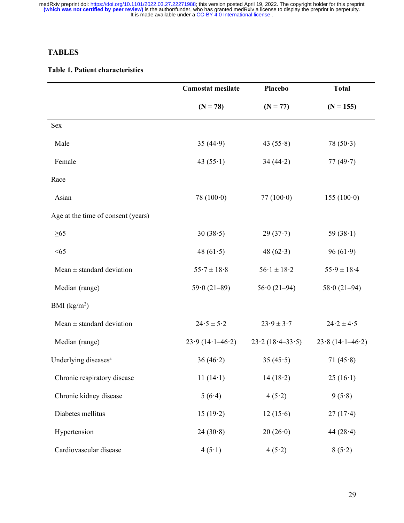# **TABLES**

## **Table 1. Patient characteristics**

|                                    | <b>Camostat mesilate</b> | Placebo             | <b>Total</b>        |
|------------------------------------|--------------------------|---------------------|---------------------|
|                                    | $(N = 78)$               | $(N = 77)$          | $(N = 155)$         |
| Sex                                |                          |                     |                     |
| Male                               | 35 $(44.9)$              | 43 $(55.8)$         | 78 $(50.3)$         |
| Female                             | 43 $(55 \cdot 1)$        | 34(44.2)            | 77 $(49.7)$         |
| Race                               |                          |                     |                     |
| Asian                              | 78 $(100.0)$             | 77 $(100.0)$        | 155(100.0)          |
| Age at the time of consent (years) |                          |                     |                     |
| $\geq 65$                          | 30(38.5)                 | 29(37.7)            | 59 $(38.1)$         |
| < 65                               | 48 $(61.5)$              | 48 $(62.3)$         | 96 $(61.9)$         |
| Mean $\pm$ standard deviation      | $55.7 \pm 18.8$          | $56.1 \pm 18.2$     | $55.9 \pm 18.4$     |
| Median (range)                     | $59.0(21-89)$            | $56.0(21-94)$       | $58.0(21-94)$       |
| BMI $(kg/m2)$                      |                          |                     |                     |
| Mean $\pm$ standard deviation      | $24.5 \pm 5.2$           | $23.9 \pm 3.7$      | $24.2 \pm 4.5$      |
| Median (range)                     | $23.9(14.1-46.2)$        | $23.2(18.4 - 33.5)$ | $23.8(14.1 - 46.2)$ |
| Underlying diseases <sup>a</sup>   | 36 $(46.2)$              | 35 $(45.5)$         | 71 $(45.8)$         |
| Chronic respiratory disease        | 11 $(14.1)$              | 14(18.2)            | 25(16.1)            |
| Chronic kidney disease             | 5(6.4)                   | 4(5.2)              | 9(5.8)              |
| Diabetes mellitus                  | 15(19.2)                 | 12(15.6)            | $27(17-4)$          |
| Hypertension                       | 24(30.8)                 | 20(26.0)            | 44 $(28.4)$         |
| Cardiovascular disease             | 4(5.1)                   | 4(5.2)              | 8(5.2)              |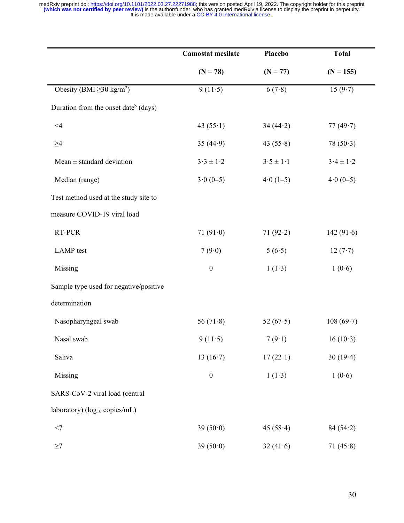|                                                  | <b>Camostat mesilate</b>  | Placebo       | <b>Total</b>  |
|--------------------------------------------------|---------------------------|---------------|---------------|
|                                                  | $(N = 78)$                | $(N = 77)$    | $(N = 155)$   |
| Obesity (BMI $\geq$ 30 kg/m <sup>2</sup> )       | 9(11.5)                   | 6(7.8)        | 15 $(9.7)$    |
| Duration from the onset date <sup>b</sup> (days) |                           |               |               |
| $\leq 4$                                         | 43 $(55 \cdot 1)$         | 34 $(44.2)$   | 77(49.7)      |
| $\geq\!\!4$                                      | 35 $(44.9)$               | 43 $(55.8)$   | 78(50.3)      |
| Mean $\pm$ standard deviation                    | $3 \cdot 3 \pm 1 \cdot 2$ | $3.5 \pm 1.1$ | $3.4 \pm 1.2$ |
| Median (range)                                   | $3.0(0-5)$                | $4.0(1-5)$    | $4.0(0-5)$    |
| Test method used at the study site to            |                           |               |               |
| measure COVID-19 viral load                      |                           |               |               |
| RT-PCR                                           | 71 $(91.0)$               | 71 $(92.2)$   | 142 $(91.6)$  |
| LAMP test                                        | 7(9.0)                    | 5(6.5)        | 12(7.7)       |
| Missing                                          | $\boldsymbol{0}$          | 1(1.3)        | 1(0.6)        |
| Sample type used for negative/positive           |                           |               |               |
| determination                                    |                           |               |               |
| Nasopharyngeal swab                              | 56 $(71.8)$               | 52 $(67.5)$   | 108(69.7)     |
| Nasal swab                                       | 9(11.5)                   | 7(9.1)        | 16(10.3)      |
| Saliva                                           | 13 $(16.7)$               | 17(22.1)      | 30(19.4)      |
| Missing                                          | $\boldsymbol{0}$          | 1(1.3)        | 1(0.6)        |
| SARS-CoV-2 viral load (central                   |                           |               |               |
| laboratory) (log <sub>10</sub> copies/mL)        |                           |               |               |
| $<7\,$                                           | 39 $(50.0)$               | 45 $(58.4)$   | 84(54.2)      |
| $\geq$ 7                                         | 39 $(50.0)$               | 32 $(41.6)$   | 71 $(45.8)$   |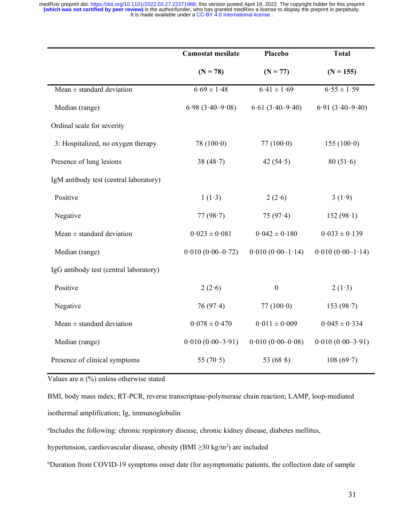|                                        | <b>Camostat mesilate</b> | Placebo               | <b>Total</b>        |
|----------------------------------------|--------------------------|-----------------------|---------------------|
|                                        | $(N = 78)$               | $(N = 77)$            | $(N = 155)$         |
| Mean $\pm$ standard deviation          | $6.69 \pm 1.48$          | $6.41 \pm 1.69$       | $6.55 \pm 1.59$     |
| Median (range)                         | $6.98(3.40 - 9.08)$      | $6.61 (3.40 - 9.40)$  | $6.91(3.40 - 9.40)$ |
| Ordinal scale for severity             |                          |                       |                     |
| 3: Hospitalized, no oxygen therapy     | 78 $(100.0)$             | 77 $(100.0)$          | 155(100.0)          |
| Presence of lung lesions               | 38 $(48.7)$              | 42 $(54.5)$           | 80(51.6)            |
| IgM antibody test (central laboratory) |                          |                       |                     |
| Positive                               | 1(1.3)                   | 2(2.6)                | 3(1.9)              |
| Negative                               | 77 $(98.7)$              | 75 $(97.4)$           | 152(98.1)           |
| Mean $\pm$ standard deviation          | $0.023 \pm 0.081$        | $0.042 \pm 0.180$     | $0.033 \pm 0.139$   |
| Median (range)                         | $0.010(0.00-0.72)$       | $0.010 (0.00 - 1.14)$ | $0.010(0.00-1.14)$  |
| IgG antibody test (central laboratory) |                          |                       |                     |
| Positive                               | 2(2.6)                   | $\boldsymbol{0}$      | 2(1.3)              |
| Negative                               | 76 $(97.4)$              | 77 $(100.0)$          | 153 $(98.7)$        |
| Mean $\pm$ standard deviation          | $0.078 \pm 0.470$        | $0.011 \pm 0.009$     | $0.045 \pm 0.334$   |
| Median (range)                         | $0.010 (0.00 - 3.91)$    | $0.010 (0.00 - 0.08)$ | $0.010(0.00-3.91)$  |
| Presence of clinical symptoms          | 55 $(70.5)$              | 53 $(68.8)$           | 108(69.7)           |

Values are n (%) unless otherwise stated

BMI, body mass index; RT-PCR, reverse transcriptase-polymerase chain reaction; LAMP, loop-mediated isothermal amplification; Ig, immunoglobulin

a Includes the following: chronic respiratory disease, chronic kidney disease, diabetes mellitus,

hypertension, cardiovascular disease, obesity (BMI ≥30 kg/m2) are included

bDuration from COVID-19 symptoms onset date (for asymptomatic patients, the collection date of sample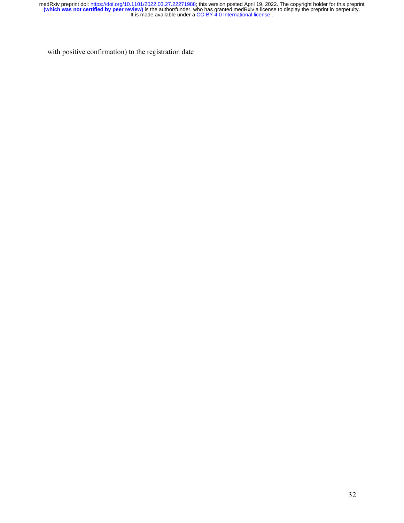with positive confirmation) to the registration date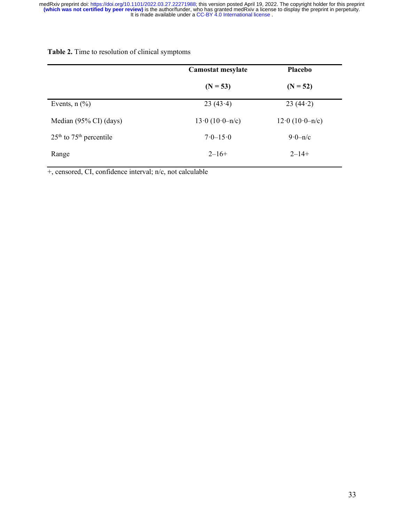|                             | Camostat mesylate   | Placebo             |
|-----------------------------|---------------------|---------------------|
|                             | $(N = 53)$          | $(N = 52)$          |
| Events, $n$ $(\%)$          | 23(43.4)            | 23(44.2)            |
| Median (95% CI) (days)      | $13.0 (10.0 - n/c)$ | $12.0 (10.0 - n/c)$ |
| $25th$ to $75th$ percentile | $7.0 - 15.0$        | $9.0 - n/c$         |
| Range                       | $2 - 16 +$          | $2 - 14 +$          |

**Table 2.** Time to resolution of clinical symptoms

+, censored, CI, confidence interval; n/c, not calculable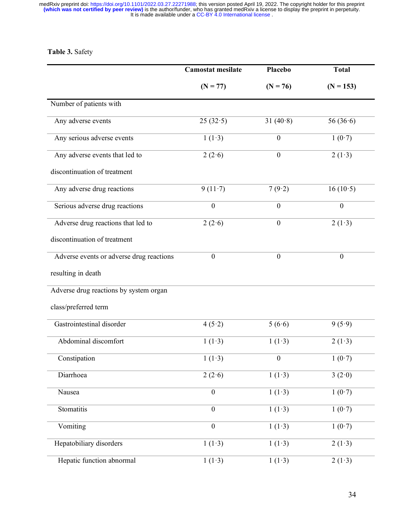# **Table 3.** Safety

|                                          | <b>Camostat mesilate</b> | Placebo          | <b>Total</b>     |
|------------------------------------------|--------------------------|------------------|------------------|
|                                          | $(N = 77)$               | $(N = 76)$       | $(N = 153)$      |
| Number of patients with                  |                          |                  |                  |
| Any adverse events                       | 25(32.5)                 | 31 $(40.8)$      | 56 $(36.6)$      |
| Any serious adverse events               | 1(1.3)                   | $\boldsymbol{0}$ | 1(0.7)           |
| Any adverse events that led to           | 2(2.6)                   | $\boldsymbol{0}$ | 2(1.3)           |
| discontinuation of treatment             |                          |                  |                  |
| Any adverse drug reactions               | 9(11.7)                  | 7(9.2)           | 16(10.5)         |
| Serious adverse drug reactions           | $\boldsymbol{0}$         | $\boldsymbol{0}$ | $\boldsymbol{0}$ |
| Adverse drug reactions that led to       | 2(2.6)                   | $\boldsymbol{0}$ | 2(1.3)           |
| discontinuation of treatment             |                          |                  |                  |
| Adverse events or adverse drug reactions | $\mathbf{0}$             | $\mathbf{0}$     | $\mathbf{0}$     |
| resulting in death                       |                          |                  |                  |
| Adverse drug reactions by system organ   |                          |                  |                  |
| class/preferred term                     |                          |                  |                  |
| Gastrointestinal disorder                | 4(5.2)                   | 5(6.6)           | 9(5.9)           |
| Abdominal discomfort                     | 1(1.3)                   | 1(1.3)           | 2(1.3)           |
| Constipation                             | 1(1.3)                   | $\theta$         | 1(0.7)           |
| Diarrhoea                                | 2(2.6)                   | 1(1.3)           | 3(2.0)           |
| Nausea                                   | $\boldsymbol{0}$         | 1(1.3)           | 1(0.7)           |
| Stomatitis                               | $\boldsymbol{0}$         | 1(1.3)           | 1(0.7)           |
| Vomiting                                 | $\boldsymbol{0}$         | 1(1.3)           | 1(0.7)           |
| Hepatobiliary disorders                  | 1(1.3)                   | 1(1.3)           | 2(1.3)           |
| Hepatic function abnormal                | 1(1.3)                   | 1(1.3)           | 2(1.3)           |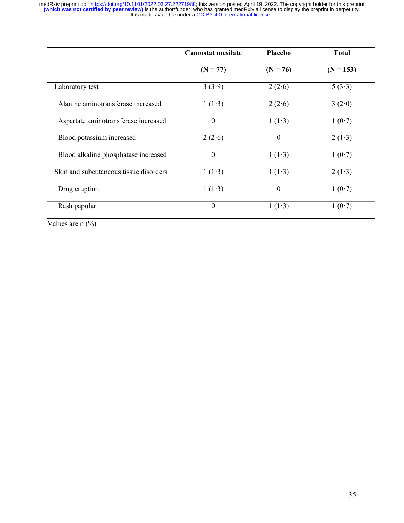|                                        | <b>Camostat mesilate</b> | Placebo    | <b>Total</b> |
|----------------------------------------|--------------------------|------------|--------------|
|                                        | $(N = 77)$               | $(N = 76)$ | $(N = 153)$  |
| Laboratory test                        | 3(3.9)                   | 2(2.6)     | 5(3.3)       |
| Alanine aminotransferase increased     | 1(1.3)                   | 2(2.6)     | 3(2.0)       |
| Aspartate aminotransferase increased   | $\mathbf{0}$             | 1(1.3)     | 1(0.7)       |
| Blood potassium increased              | 2(2.6)                   | $\theta$   | 2(1.3)       |
| Blood alkaline phosphatase increased   | $\boldsymbol{0}$         | 1(1.3)     | 1(0.7)       |
| Skin and subcutaneous tissue disorders | 1(1.3)                   | 1(1.3)     | 2(1.3)       |
| Drug eruption                          | 1(1.3)                   | $\theta$   | 1(0.7)       |
| Rash papular                           | $\boldsymbol{0}$         | 1(1.3)     | 1(0.7)       |

Values are n  $(\%)$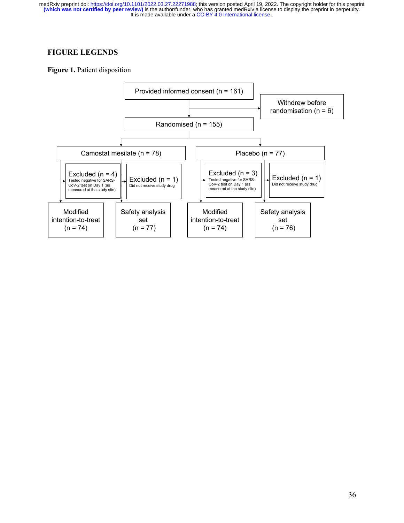## **FIGURE LEGENDS**

**Figure 1.** Patient disposition

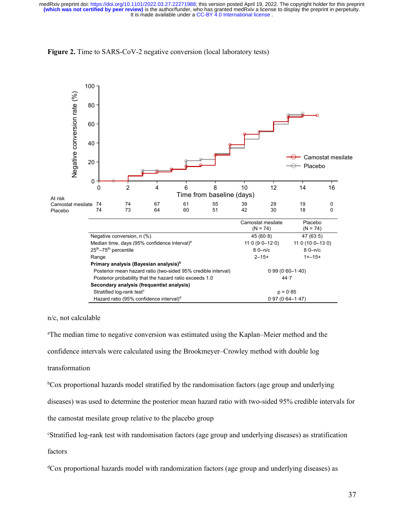



n/c, not calculable

a The median time to negative conversion was estimated using the Kaplan–Meier method and the confidence intervals were calculated using the Brookmeyer–Crowley method with double log

transformation

bCox proportional hazards model stratified by the randomisation factors (age group and underlying

diseases) was used to determine the posterior mean hazard ratio with two-sided 95% credible intervals for

the camostat mesilate group relative to the placebo group

c Stratified log-rank test with randomisation factors (age group and underlying diseases) as stratification

factors

dCox proportional hazards model with randomization factors (age group and underlying diseases) as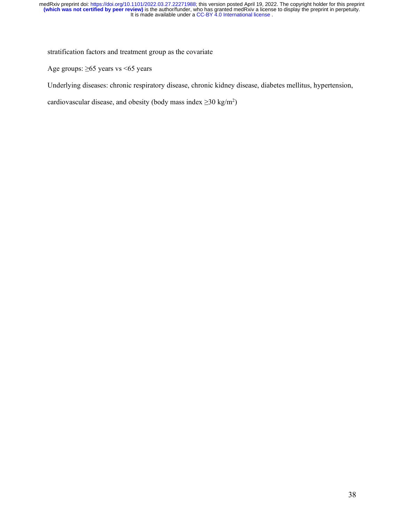stratification factors and treatment group as the covariate

Age groups: ≥65 years vs <65 years

Underlying diseases: chronic respiratory disease, chronic kidney disease, diabetes mellitus, hypertension,

cardiovascular disease, and obesity (body mass index  $\geq$ 30 kg/m<sup>2</sup>)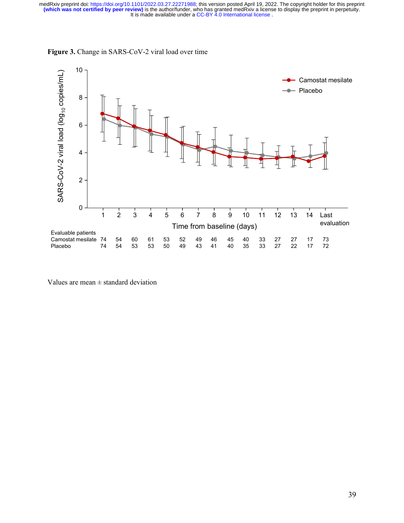

**Figure 3.** Change in SARS-CoV-2 viral load over time